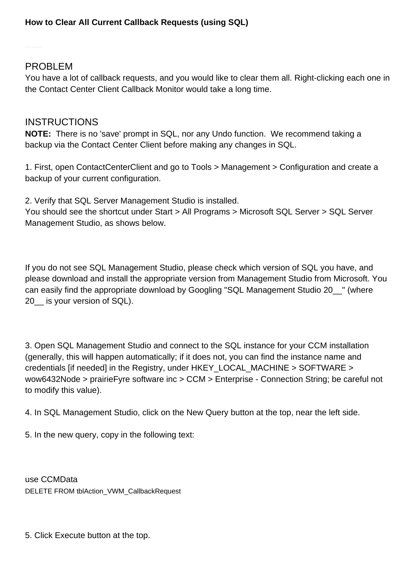## PROBLEM

You have a lot of callback requests, and you would like to clear them all. Right-clicking each one in the Contact Center Client Callback Monitor would take a long time.

## INSTRUCTIONS

**NOTE:** There is no 'save' prompt in SQL, nor any Undo function. We recommend taking a backup via the Contact Center Client before making any changes in SQL.

1. First, open ContactCenterClient and go to Tools > Management > Configuration and create a backup of your current configuration.

2. Verify that SQL Server Management Studio is installed.

You should see the shortcut under Start > All Programs > Microsoft SQL Server > SQL Server Management Studio, as shows below.

If you do not see SQL Management Studio, please check which version of SQL you have, and please download and install the appropriate version from Management Studio from Microsoft. You can easily find the appropriate download by Googling "SQL Management Studio 20\_\_" (where 20 is your version of SQL).

3. Open SQL Management Studio and connect to the SQL instance for your CCM installation (generally, this will happen automatically; if it does not, you can find the instance name and credentials [if needed] in the Registry, under HKEY\_LOCAL\_MACHINE > SOFTWARE > wow6432Node > prairieFyre software inc > CCM > Enterprise - Connection String; be careful not to modify this value).

4. In SQL Management Studio, click on the New Query button at the top, near the left side.

5. In the new query, copy in the following text:

use CCMData DELETE FROM tblAction\_VWM\_CallbackRequest

5. Click Execute button at the top.